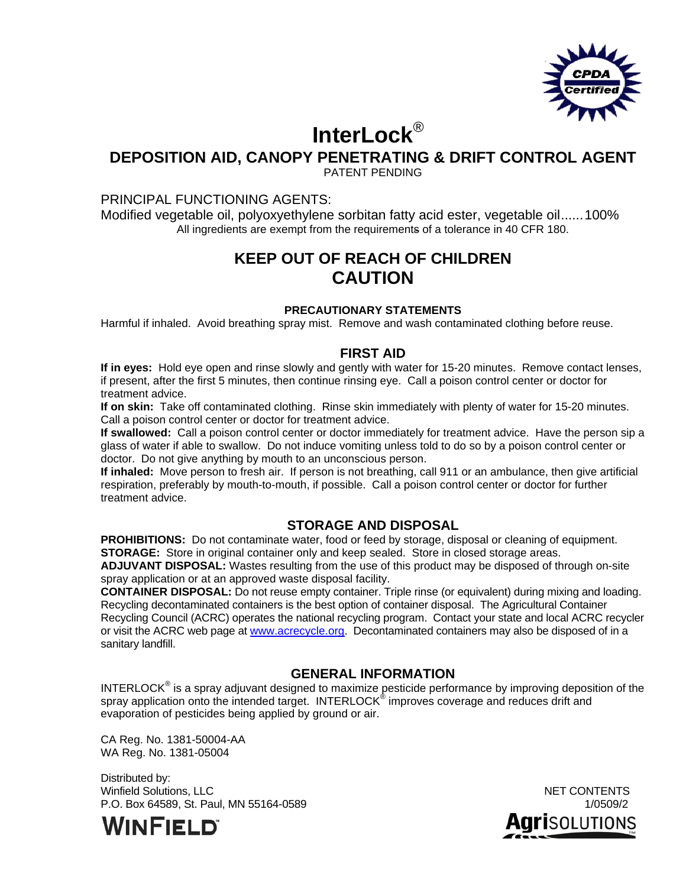

# **InterLock**®

## **DEPOSITION AID, CANOPY PENETRATING & DRIFT CONTROL AGENT**

PATENT PENDING

#### PRINCIPAL FUNCTIONING AGENTS:

Modified vegetable oil, polyoxyethylene sorbitan fatty acid ester, vegetable oil ...... 100% All ingredients are exempt from the requirements of a tolerance in 40 CFR 180.

## **KEEP OUT OF REACH OF CHILDREN CAUTION**

#### **PRECAUTIONARY STATEMENTS**

Harmful if inhaled. Avoid breathing spray mist. Remove and wash contaminated clothing before reuse.

## **FIRST AID**

**If in eyes:** Hold eye open and rinse slowly and gently with water for 15-20 minutes. Remove contact lenses, if present, after the first 5 minutes, then continue rinsing eye. Call a poison control center or doctor for treatment advice.

**If on skin:** Take off contaminated clothing. Rinse skin immediately with plenty of water for 15-20 minutes. Call a poison control center or doctor for treatment advice.

**If swallowed:** Call a poison control center or doctor immediately for treatment advice. Have the person sip a glass of water if able to swallow. Do not induce vomiting unless told to do so by a poison control center or doctor. Do not give anything by mouth to an unconscious person.

**If inhaled:** Move person to fresh air. If person is not breathing, call 911 or an ambulance, then give artificial respiration, preferably by mouth-to-mouth, if possible. Call a poison control center or doctor for further treatment advice.

## **STORAGE AND DISPOSAL**

**PROHIBITIONS:** Do not contaminate water, food or feed by storage, disposal or cleaning of equipment. **STORAGE:** Store in original container only and keep sealed. Store in closed storage areas.

**ADJUVANT DISPOSAL:** Wastes resulting from the use of this product may be disposed of through on-site spray application or at an approved waste disposal facility.

**CONTAINER DISPOSAL:** Do not reuse empty container. Triple rinse (or equivalent) during mixing and loading. Recycling decontaminated containers is the best option of container disposal. The Agricultural Container Recycling Council (ACRC) operates the national recycling program. Contact your state and local ACRC recycler or visit the ACRC web page at www.acrecycle.org. Decontaminated containers may also be disposed of in a sanitary landfill.

## **GENERAL INFORMATION**

INTERLOCK<sup>®</sup> is a spray adjuvant designed to maximize pesticide performance by improving deposition of the spray application onto the intended target. INTERLOCK® improves coverage and reduces drift and evaporation of pesticides being applied by ground or air.

CA Reg. No. 1381-50004-AA WA Reg. No. 1381-05004

Distributed by: Winfield Solutions, LLC NET CONTENTS P.O. Box 64589, St. Paul, MN 55164-05891/0509/2